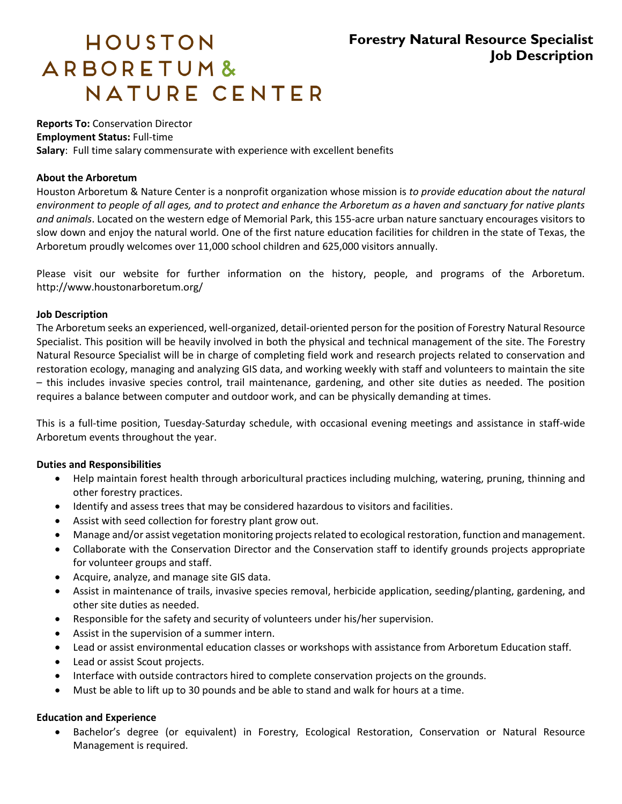# **Forestry Natural Resource Specialist Job Description**

# HOUSTON ARBORETUM& NATURE CENTER

# **Reports To:** Conservation Director

**Employment Status:** Full-time

**Salary**: Full time salary commensurate with experience with excellent benefits

### **About the Arboretum**

Houston Arboretum & Nature Center is a nonprofit organization whose mission is *to provide education about the natural environment to people of all ages, and to protect and enhance the Arboretum as a haven and sanctuary for native plants and animals*. Located on the western edge of Memorial Park, this 155-acre urban nature sanctuary encourages visitors to slow down and enjoy the natural world. One of the first nature education facilities for children in the state of Texas, the Arboretum proudly welcomes over 11,000 school children and 625,000 visitors annually.

Please visit our website for further information on the history, people, and programs of the Arboretum. http://www.houstonarboretum.org/

#### **Job Description**

The Arboretum seeks an experienced, well-organized, detail-oriented person for the position of Forestry Natural Resource Specialist. This position will be heavily involved in both the physical and technical management of the site. The Forestry Natural Resource Specialist will be in charge of completing field work and research projects related to conservation and restoration ecology, managing and analyzing GIS data, and working weekly with staff and volunteers to maintain the site – this includes invasive species control, trail maintenance, gardening, and other site duties as needed. The position requires a balance between computer and outdoor work, and can be physically demanding at times.

This is a full-time position, Tuesday-Saturday schedule, with occasional evening meetings and assistance in staff-wide Arboretum events throughout the year.

# **Duties and Responsibilities**

- Help maintain forest health through arboricultural practices including mulching, watering, pruning, thinning and other forestry practices.
- Identify and assess trees that may be considered hazardous to visitors and facilities.
- Assist with seed collection for forestry plant grow out.
- Manage and/or assist vegetation monitoring projects related to ecological restoration, function and management.
- Collaborate with the Conservation Director and the Conservation staff to identify grounds projects appropriate for volunteer groups and staff.
- Acquire, analyze, and manage site GIS data.
- Assist in maintenance of trails, invasive species removal, herbicide application, seeding/planting, gardening, and other site duties as needed.
- Responsible for the safety and security of volunteers under his/her supervision.
- Assist in the supervision of a summer intern.
- Lead or assist environmental education classes or workshops with assistance from Arboretum Education staff.
- Lead or assist Scout projects.
- Interface with outside contractors hired to complete conservation projects on the grounds.
- Must be able to lift up to 30 pounds and be able to stand and walk for hours at a time.

#### **Education and Experience**

 Bachelor's degree (or equivalent) in Forestry, Ecological Restoration, Conservation or Natural Resource Management is required.